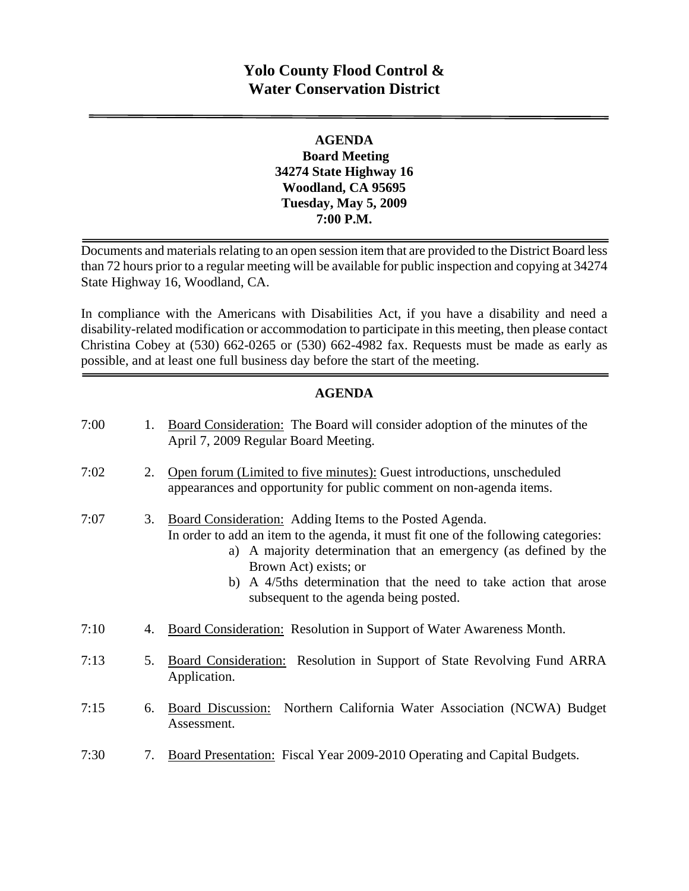## **Yolo County Flood Control & Water Conservation District**

#### **AGENDA Board Meeting 34274 State Highway 16 Woodland, CA 95695 Tuesday, May 5, 2009 7:00 P.M.**

Documents and materials relating to an open session item that are provided to the District Board less than 72 hours prior to a regular meeting will be available for public inspection and copying at 34274 State Highway 16, Woodland, CA.

In compliance with the Americans with Disabilities Act, if you have a disability and need a disability-related modification or accommodation to participate in this meeting, then please contact Christina Cobey at (530) 662-0265 or (530) 662-4982 fax. Requests must be made as early as possible, and at least one full business day before the start of the meeting.

#### **AGENDA**

| 7:00 | 1. | Board Consideration: The Board will consider adoption of the minutes of the<br>April 7, 2009 Regular Board Meeting.                                                                                                                                                                                                                                        |
|------|----|------------------------------------------------------------------------------------------------------------------------------------------------------------------------------------------------------------------------------------------------------------------------------------------------------------------------------------------------------------|
| 7:02 | 2. | Open forum (Limited to five minutes): Guest introductions, unscheduled<br>appearances and opportunity for public comment on non-agenda items.                                                                                                                                                                                                              |
| 7:07 | 3. | Board Consideration: Adding Items to the Posted Agenda.<br>In order to add an item to the agenda, it must fit one of the following categories:<br>a) A majority determination that an emergency (as defined by the<br>Brown Act) exists; or<br>b) A 4/5ths determination that the need to take action that arose<br>subsequent to the agenda being posted. |
| 7:10 | 4. | Board Consideration: Resolution in Support of Water Awareness Month.                                                                                                                                                                                                                                                                                       |
| 7:13 | 5. | <b>Board Consideration:</b> Resolution in Support of State Revolving Fund ARRA<br>Application.                                                                                                                                                                                                                                                             |
| 7:15 | 6. | Board Discussion: Northern California Water Association (NCWA) Budget<br>Assessment.                                                                                                                                                                                                                                                                       |
| 7:30 | 7. | Board Presentation: Fiscal Year 2009-2010 Operating and Capital Budgets.                                                                                                                                                                                                                                                                                   |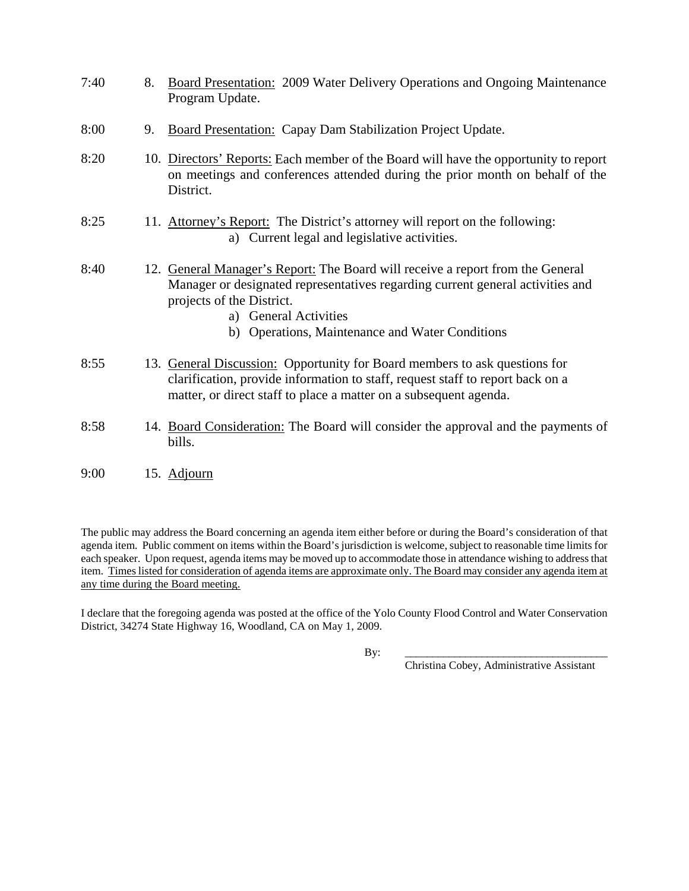| 7:40 | 8. | <b>Board Presentation: 2009 Water Delivery Operations and Ongoing Maintenance</b><br>Program Update.                                                                                                                                                                      |
|------|----|---------------------------------------------------------------------------------------------------------------------------------------------------------------------------------------------------------------------------------------------------------------------------|
| 8:00 | 9. | <b>Board Presentation: Capay Dam Stabilization Project Update.</b>                                                                                                                                                                                                        |
| 8:20 |    | 10. Directors' Reports: Each member of the Board will have the opportunity to report<br>on meetings and conferences attended during the prior month on behalf of the<br>District.                                                                                         |
| 8:25 |    | 11. Attorney's Report: The District's attorney will report on the following:<br>a) Current legal and legislative activities.                                                                                                                                              |
| 8:40 |    | 12. General Manager's Report: The Board will receive a report from the General<br>Manager or designated representatives regarding current general activities and<br>projects of the District.<br>a) General Activities<br>b) Operations, Maintenance and Water Conditions |
| 8:55 |    | 13. General Discussion: Opportunity for Board members to ask questions for<br>clarification, provide information to staff, request staff to report back on a<br>matter, or direct staff to place a matter on a subsequent agenda.                                         |
| 8:58 |    | 14. Board Consideration: The Board will consider the approval and the payments of<br>bills.                                                                                                                                                                               |

9:00 15. Adjourn

The public may address the Board concerning an agenda item either before or during the Board's consideration of that agenda item. Public comment on items within the Board's jurisdiction is welcome, subject to reasonable time limits for each speaker. Upon request, agenda items may be moved up to accommodate those in attendance wishing to address that item. Times listed for consideration of agenda items are approximate only. The Board may consider any agenda item at any time during the Board meeting.

I declare that the foregoing agenda was posted at the office of the Yolo County Flood Control and Water Conservation District, 34274 State Highway 16, Woodland, CA on May 1, 2009.

By: \_\_\_\_\_\_\_\_\_\_\_\_\_\_\_\_\_\_\_\_\_\_\_\_\_\_\_\_\_\_\_\_\_\_\_\_\_

Christina Cobey, Administrative Assistant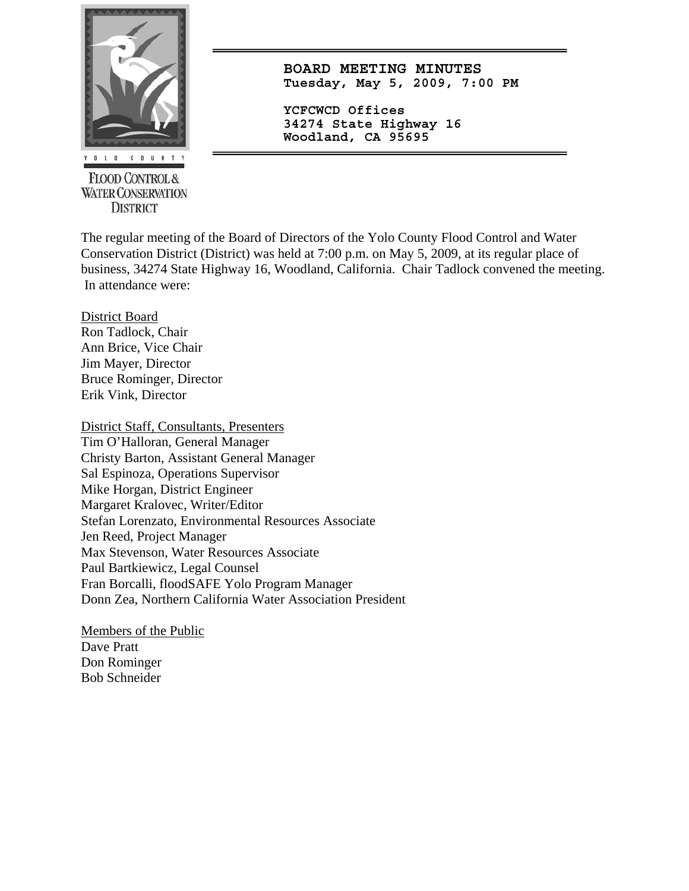

**FLOOD CONTROL & WATER CONSERVATION DISTRICT** 

**BOARD MEETING MINUTES Tuesday, May 5, 2009, 7:00 PM**

**YCFCWCD Offices 34274 State Highway 16 Woodland, CA 95695** 

The regular meeting of the Board of Directors of the Yolo County Flood Control and Water Conservation District (District) was held at 7:00 p.m. on May 5, 2009, at its regular place of business, 34274 State Highway 16, Woodland, California. Chair Tadlock convened the meeting. In attendance were:

District Board Ron Tadlock, Chair Ann Brice, Vice Chair Jim Mayer, Director Bruce Rominger, Director Erik Vink, Director

District Staff, Consultants, Presenters Tim O'Halloran, General Manager Christy Barton, Assistant General Manager Sal Espinoza, Operations Supervisor Mike Horgan, District Engineer Margaret Kralovec, Writer/Editor Stefan Lorenzato, Environmental Resources Associate Jen Reed, Project Manager Max Stevenson, Water Resources Associate Paul Bartkiewicz, Legal Counsel Fran Borcalli, floodSAFE Yolo Program Manager Donn Zea, Northern California Water Association President

Members of the Public Dave Pratt Don Rominger Bob Schneider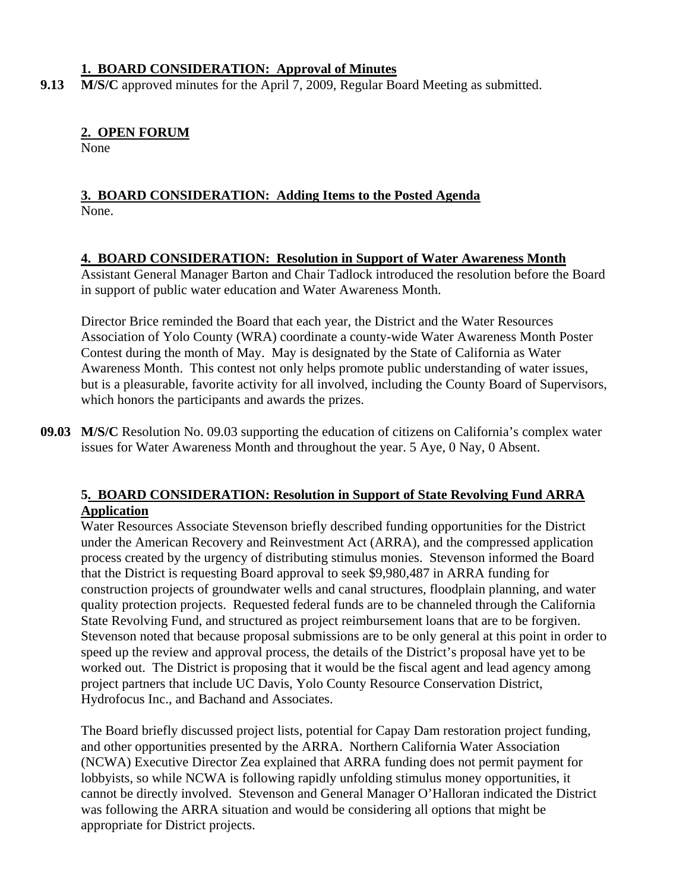#### **1. BOARD CONSIDERATION: Approval of Minutes**

**9.13 M/S/C** approved minutes for the April 7, 2009, Regular Board Meeting as submitted.

#### **2. OPEN FORUM**

None

#### **3. BOARD CONSIDERATION: Adding Items to the Posted Agenda** None.

#### **4. BOARD CONSIDERATION: Resolution in Support of Water Awareness Month**

Assistant General Manager Barton and Chair Tadlock introduced the resolution before the Board in support of public water education and Water Awareness Month.

Director Brice reminded the Board that each year, the District and the Water Resources Association of Yolo County (WRA) coordinate a county-wide Water Awareness Month Poster Contest during the month of May. May is designated by the State of California as Water Awareness Month. This contest not only helps promote public understanding of water issues, but is a pleasurable, favorite activity for all involved, including the County Board of Supervisors, which honors the participants and awards the prizes.

**09.03 M/S/C** Resolution No. 09.03 supporting the education of citizens on California's complex water issues for Water Awareness Month and throughout the year. 5 Aye, 0 Nay, 0 Absent.

#### **5. BOARD CONSIDERATION: Resolution in Support of State Revolving Fund ARRA Application**

Water Resources Associate Stevenson briefly described funding opportunities for the District under the American Recovery and Reinvestment Act (ARRA), and the compressed application process created by the urgency of distributing stimulus monies. Stevenson informed the Board that the District is requesting Board approval to seek \$9,980,487 in ARRA funding for construction projects of groundwater wells and canal structures, floodplain planning, and water quality protection projects. Requested federal funds are to be channeled through the California State Revolving Fund, and structured as project reimbursement loans that are to be forgiven. Stevenson noted that because proposal submissions are to be only general at this point in order to speed up the review and approval process, the details of the District's proposal have yet to be worked out. The District is proposing that it would be the fiscal agent and lead agency among project partners that include UC Davis, Yolo County Resource Conservation District, Hydrofocus Inc., and Bachand and Associates.

The Board briefly discussed project lists, potential for Capay Dam restoration project funding, and other opportunities presented by the ARRA. Northern California Water Association (NCWA) Executive Director Zea explained that ARRA funding does not permit payment for lobbyists, so while NCWA is following rapidly unfolding stimulus money opportunities, it cannot be directly involved. Stevenson and General Manager O'Halloran indicated the District was following the ARRA situation and would be considering all options that might be appropriate for District projects.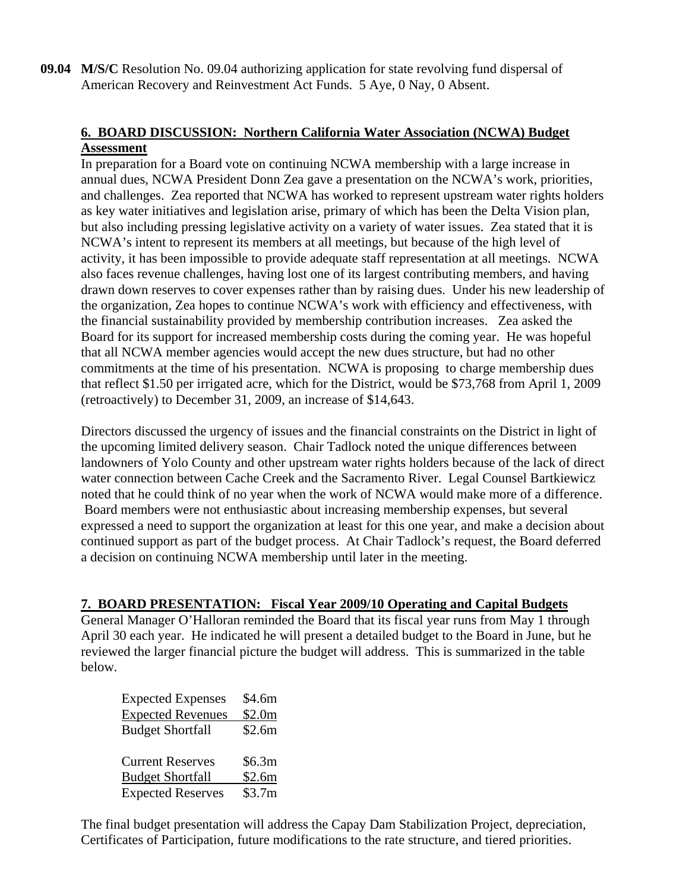**09.04 M/S/C** Resolution No. 09.04 authorizing application for state revolving fund dispersal of American Recovery and Reinvestment Act Funds. 5 Aye, 0 Nay, 0 Absent.

#### **6. BOARD DISCUSSION: Northern California Water Association (NCWA) Budget Assessment**

In preparation for a Board vote on continuing NCWA membership with a large increase in annual dues, NCWA President Donn Zea gave a presentation on the NCWA's work, priorities, and challenges. Zea reported that NCWA has worked to represent upstream water rights holders as key water initiatives and legislation arise, primary of which has been the Delta Vision plan, but also including pressing legislative activity on a variety of water issues. Zea stated that it is NCWA's intent to represent its members at all meetings, but because of the high level of activity, it has been impossible to provide adequate staff representation at all meetings. NCWA also faces revenue challenges, having lost one of its largest contributing members, and having drawn down reserves to cover expenses rather than by raising dues. Under his new leadership of the organization, Zea hopes to continue NCWA's work with efficiency and effectiveness, with the financial sustainability provided by membership contribution increases. Zea asked the Board for its support for increased membership costs during the coming year. He was hopeful that all NCWA member agencies would accept the new dues structure, but had no other commitments at the time of his presentation. NCWA is proposing to charge membership dues that reflect \$1.50 per irrigated acre, which for the District, would be \$73,768 from April 1, 2009 (retroactively) to December 31, 2009, an increase of \$14,643.

Directors discussed the urgency of issues and the financial constraints on the District in light of the upcoming limited delivery season. Chair Tadlock noted the unique differences between landowners of Yolo County and other upstream water rights holders because of the lack of direct water connection between Cache Creek and the Sacramento River. Legal Counsel Bartkiewicz noted that he could think of no year when the work of NCWA would make more of a difference. Board members were not enthusiastic about increasing membership expenses, but several expressed a need to support the organization at least for this one year, and make a decision about continued support as part of the budget process. At Chair Tadlock's request, the Board deferred a decision on continuing NCWA membership until later in the meeting.

#### **7. BOARD PRESENTATION: Fiscal Year 2009/10 Operating and Capital Budgets**

General Manager O'Halloran reminded the Board that its fiscal year runs from May 1 through April 30 each year. He indicated he will present a detailed budget to the Board in June, but he reviewed the larger financial picture the budget will address. This is summarized in the table below.

| \$4.6m |
|--------|
| \$2.0m |
| \$2.6m |
|        |
| \$6.3m |
| \$2.6m |
| \$3.7m |
|        |

The final budget presentation will address the Capay Dam Stabilization Project, depreciation, Certificates of Participation, future modifications to the rate structure, and tiered priorities.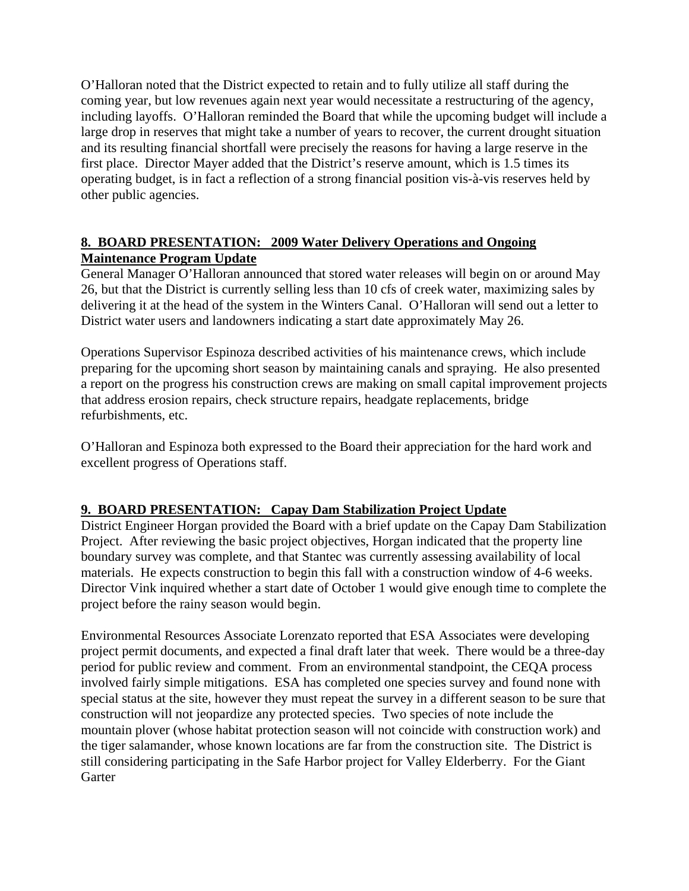O'Halloran noted that the District expected to retain and to fully utilize all staff during the coming year, but low revenues again next year would necessitate a restructuring of the agency, including layoffs. O'Halloran reminded the Board that while the upcoming budget will include a large drop in reserves that might take a number of years to recover, the current drought situation and its resulting financial shortfall were precisely the reasons for having a large reserve in the first place. Director Mayer added that the District's reserve amount, which is 1.5 times its operating budget, is in fact a reflection of a strong financial position vis-à-vis reserves held by other public agencies.

#### **8. BOARD PRESENTATION: 2009 Water Delivery Operations and Ongoing Maintenance Program Update**

General Manager O'Halloran announced that stored water releases will begin on or around May 26, but that the District is currently selling less than 10 cfs of creek water, maximizing sales by delivering it at the head of the system in the Winters Canal. O'Halloran will send out a letter to District water users and landowners indicating a start date approximately May 26.

Operations Supervisor Espinoza described activities of his maintenance crews, which include preparing for the upcoming short season by maintaining canals and spraying. He also presented a report on the progress his construction crews are making on small capital improvement projects that address erosion repairs, check structure repairs, headgate replacements, bridge refurbishments, etc.

O'Halloran and Espinoza both expressed to the Board their appreciation for the hard work and excellent progress of Operations staff.

### **9. BOARD PRESENTATION: Capay Dam Stabilization Project Update**

District Engineer Horgan provided the Board with a brief update on the Capay Dam Stabilization Project. After reviewing the basic project objectives, Horgan indicated that the property line boundary survey was complete, and that Stantec was currently assessing availability of local materials. He expects construction to begin this fall with a construction window of 4-6 weeks. Director Vink inquired whether a start date of October 1 would give enough time to complete the project before the rainy season would begin.

Environmental Resources Associate Lorenzato reported that ESA Associates were developing project permit documents, and expected a final draft later that week. There would be a three-day period for public review and comment. From an environmental standpoint, the CEQA process involved fairly simple mitigations. ESA has completed one species survey and found none with special status at the site, however they must repeat the survey in a different season to be sure that construction will not jeopardize any protected species. Two species of note include the mountain plover (whose habitat protection season will not coincide with construction work) and the tiger salamander, whose known locations are far from the construction site. The District is still considering participating in the Safe Harbor project for Valley Elderberry. For the Giant **Garter**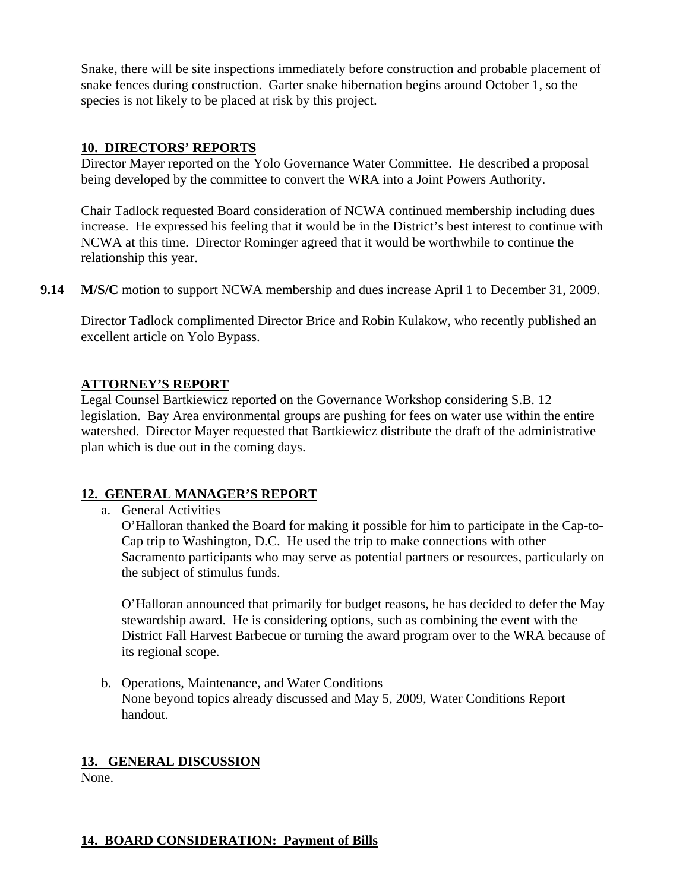Snake, there will be site inspections immediately before construction and probable placement of snake fences during construction. Garter snake hibernation begins around October 1, so the species is not likely to be placed at risk by this project.

#### **10. DIRECTORS' REPORTS**

Director Mayer reported on the Yolo Governance Water Committee. He described a proposal being developed by the committee to convert the WRA into a Joint Powers Authority.

Chair Tadlock requested Board consideration of NCWA continued membership including dues increase. He expressed his feeling that it would be in the District's best interest to continue with NCWA at this time. Director Rominger agreed that it would be worthwhile to continue the relationship this year.

**9.14** M/S/C motion to support NCWA membership and dues increase April 1 to December 31, 2009.

 Director Tadlock complimented Director Brice and Robin Kulakow, who recently published an excellent article on Yolo Bypass.

#### **ATTORNEY'S REPORT**

Legal Counsel Bartkiewicz reported on the Governance Workshop considering S.B. 12 legislation. Bay Area environmental groups are pushing for fees on water use within the entire watershed. Director Mayer requested that Bartkiewicz distribute the draft of the administrative plan which is due out in the coming days.

#### **12. GENERAL MANAGER'S REPORT**

a. General Activities

O'Halloran thanked the Board for making it possible for him to participate in the Cap-to-Cap trip to Washington, D.C. He used the trip to make connections with other Sacramento participants who may serve as potential partners or resources, particularly on the subject of stimulus funds.

O'Halloran announced that primarily for budget reasons, he has decided to defer the May stewardship award. He is considering options, such as combining the event with the District Fall Harvest Barbecue or turning the award program over to the WRA because of its regional scope.

b. Operations, Maintenance, and Water Conditions None beyond topics already discussed and May 5, 2009, Water Conditions Report handout.

#### **13. GENERAL DISCUSSION**

None.

### **14. BOARD CONSIDERATION: Payment of Bills**